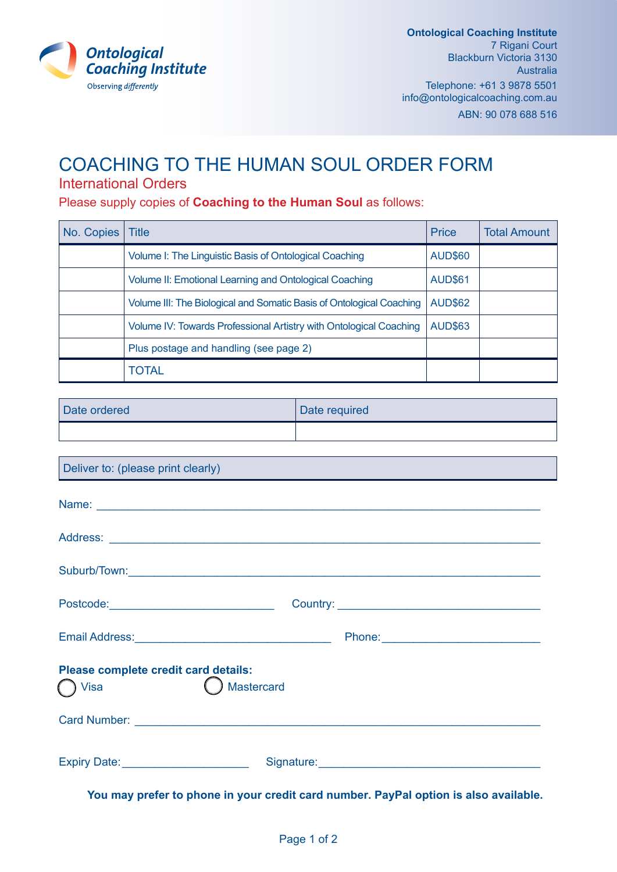

## COACHING TO THE HUMAN SOUL ORDER FORM

## International Orders

Please supply copies of **Coaching to the Human Soul** as follows:

| No. Copies | Title                                                                | <b>Price</b>   | <b>Total Amount</b> |
|------------|----------------------------------------------------------------------|----------------|---------------------|
|            | Volume I: The Linguistic Basis of Ontological Coaching               | <b>AUD\$60</b> |                     |
|            | Volume II: Emotional Learning and Ontological Coaching               | <b>AUD\$61</b> |                     |
|            | Volume III: The Biological and Somatic Basis of Ontological Coaching | <b>AUD\$62</b> |                     |
|            | Volume IV: Towards Professional Artistry with Ontological Coaching   | <b>AUD\$63</b> |                     |
|            | Plus postage and handling (see page 2)                               |                |                     |
|            | <b>TOTAL</b>                                                         |                |                     |

| Date ordered | Date required |
|--------------|---------------|
|              |               |

| Deliver to: (please print clearly)                                |                                                                                                                                                                                                                                     |  |  |  |  |  |
|-------------------------------------------------------------------|-------------------------------------------------------------------------------------------------------------------------------------------------------------------------------------------------------------------------------------|--|--|--|--|--|
|                                                                   |                                                                                                                                                                                                                                     |  |  |  |  |  |
|                                                                   |                                                                                                                                                                                                                                     |  |  |  |  |  |
|                                                                   |                                                                                                                                                                                                                                     |  |  |  |  |  |
| Postcode:________________________________                         |                                                                                                                                                                                                                                     |  |  |  |  |  |
| Email Address: University of Address:                             |                                                                                                                                                                                                                                     |  |  |  |  |  |
| Please complete credit card details:<br><b>Mastercard</b><br>Visa |                                                                                                                                                                                                                                     |  |  |  |  |  |
|                                                                   |                                                                                                                                                                                                                                     |  |  |  |  |  |
| Expiry Date: <u>www.community.com</u>                             | Signature: <u>Contact of the Signature</u> Contact of the Signature Contact of the Signature Contact of the Signature Contact of the Signature Contact of the Signature Contact of the Signature Contact of the Signature Contact o |  |  |  |  |  |

**You may prefer to phone in your credit card number. PayPal option is also available.**